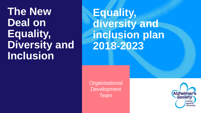## **The New Deal on Equality, Diversity and Inclusion**

**Equality, diversity and inclusion plan 2018-2023**

**Organisational Development** Team

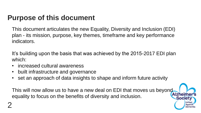### **Purpose of this document**

This document articulates the new Equality, Diversity and Inclusion (EDI) plan - its mission, purpose, key themes, timeframe and key performance indicators.

It's building upon the basis that was achieved by the 2015-2017 EDI plan which:

- increased cultural awareness
- built infrastructure and governance
- set an approach of data insights to shape and inform future activity

This will now allow us to have a new deal on EDI that moves us beyond equality to focus on the benefits of diversity and inclusion.

**Society** 

Agains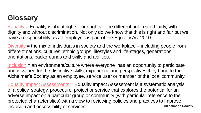### **Glossary**

 $Equality$  = Equality is about rights - our rights to be different but treated fairly, with dignity and without discrimination. Not only do we know that this is right and fair but we have a responsibility as an employer as part of the Equality Act 2010.

 $Diversity$  = the mix of individuals in society and the workplace – including people from different nations, cultures, ethnic groups, lifestyles and life-stages, generations, orientations, backgrounds and skills and abilities.

Inclusion = an environment/culture where everyone has an opportunity to participate and is valued for the distinctive skills, experience and perspectives they bring to the Alzheimer's Society as an employee, service user or member of the local community.

<span id="page-2-0"></span>**Alzheimer's Society** Equality Impact Assessments = Equality Impact Assessment is a systematic analysis of a policy, strategy, procedure, project or service that explores the potential for an adverse impact on a particular group or community (with particular reference to the protected characteristics) with a view to reviewing policies and practices to improve inclusion and accessibility of services.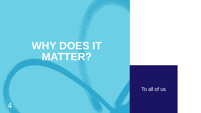## **WHY DOES IT MATTER?**

To all of us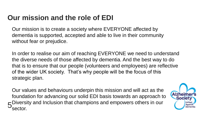### **Our mission and the role of EDI**

Our mission is to create a society where EVERYONE affected by dementia is supported, accepted and able to live in their community without fear or prejudice.

In order to realise our aim of reaching EVERYONE we need to understand the diverse needs of those affected by dementia. And the best way to do that is to ensure that our people (volunteers and employees) are reflective of the wider UK society. That's why people will be the focus of this strategic plan.

5<sup>Diversity and Inclusion that champions and empowers others in our 5 Sector</sup> Our values and behaviours underpin this mission and will act as the foundation for advancing our solid EDI basis towards an approach to sector.

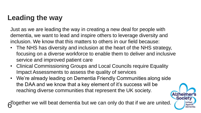### **Leading the way**

Just as we are leading the way in creating a new deal for people with dementia, we want to lead and inspire others to leverage diversity and inclusion. We know that this matters to others in our field because:

- The NHS has diversity and inclusion at the heart of the NHS strategy, focusing on a diverse workforce to enable them to deliver and inclusive service and improved patient care
- Clinical Commissioning Groups and Local Councils require Equality Impact Assessments to assess the quality of services
- We're already leading on Dementia Friendly Communities along side the DAA and we know that a key element of it's success will be reaching diverse communities that represent the UK society.

6 Together we will beat dementia but we can only do that if we are united.

**Society** 

**Agains**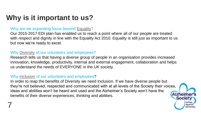### **Why is it important to us?**

#### Why are we expanding focus beyond [Equality?](#page-2-0)

Our 2015-2017 EDI plan has enabled us to reach a point where all of our people are treated with respect and dignity in line with the Equality Act 2010. Equality is still just as important to us but now we're ready to excel.

#### Why [Diversity](#page-2-0) of our volunteers and employees?

Research tells us that having a diverse group of people in an organisation provides increased innovation, knowledge, productivity, internal and external engagement, collaboration and helps us understand the needs of EVERYONE in the UK society.

#### Why [Inclusion](#page-2-0) of our volunteers and employees?

7

In order to reap the benefits of Diversity we need Inclusion. If we have diverse people but they're not believed, respected and communicated with at all levels of the Society their voices, ideas and abilities won't be heard and used and the Alzheimer's Society won't have the benefits of their diverse experiences, thinking and abilities.

**Society** 

Unitec Against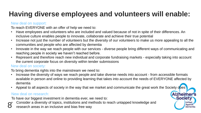## **Having diverse employees and volunteers will enable:**

#### New deal on support:

To reach EVERYONE with an offer of help we need to:

- Have employees and volunteers who are included and valued because of not in spite of their differences. An inclusive culture enables people to innovate, collaborate and achieve their true potential
- Increase not just the number of volunteers but the diversity of our volunteers to make us more appealing to all the communities and people who are affected by dementia
- Innovate in the way we reach people with our services diverse people bring different ways of communicating and reaching people in society we haven't reached before.
- Represent and therefore reach new individual and corporate fundraising markets especially taking into account the current corporate focus on diversity within tender submissions

#### New deal on society:

To bring dementia rights into the mainstream we need to:

• Increase the diversity of ways we reach people and take diverse needs into account - from accessible formats available in person and online to providing learning that takes into account the needs of EVERYONE affected by dementia

**Alzheime** 

**Society** 

United Against Dementia

Appeal to all aspects of society in the way that we market and communicate the great work the Society does

#### New deal on research:

To have our biggest investment in dementia ever, we need to:

8 • Consider a diversity of topics, institutions and methods to reach untapped knowledge and research areas in an inclusive and bias free way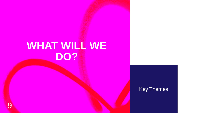## **WHAT WILL WE DO?**

#### Key Themes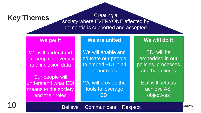### **Key Themes**

Creating a society where EVERYONE affected by dementia is supported and accepted

#### **We get it**

We will understand our people's diversity and inclusion data

Our people will understand what EDI means to the society and their roles

#### **We are united**

We will enable and educate our people to embed EDI in all of our roles

We will provide the tools to leverage EDI

#### **We will do it**

EDI will be embedded in our policies, processes and behaviours

EDI will help us achieve AS' objectives

10

Believe Communicate Respect

**Bociety**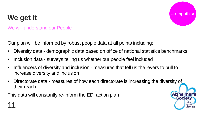# # empathise

**Society** 

**United Against** Dementia

## **We get it**

#### We will understand our People

Our plan will be informed by robust people data at all points including:

- Diversity data demographic data based on office of national statistics benchmarks
- Inclusion data surveys telling us whether our people feel included
- Influencers of diversity and inclusion measures that tell us the levers to pull to increase diversity and inclusion
- Directorate data measures of how each directorate is increasing the diversity of their reach

This data will constantly re-inform the EDI action plan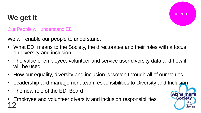## # learn

**Alzheime** 

**Society** 

**United Against** Dementia

### **We get it**

#### Our People will understand EDI

We will enable our people to understand:

- What EDI means to the Society, the directorates and their roles with a focus on diversity and inclusion
- The value of employee, volunteer and service user diversity data and how it will be used
- How our equality, diversity and inclusion is woven through all of our values
- Leadership and management team responsibilities to Diversity and Inclusion
- The new role of the EDI Board
- Employee and volunteer diversity and inclusion responsibilities 12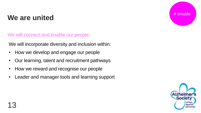### **We are united**

We will connect and enable our people

We will incorporate diversity and inclusion within:

- How we develop and engage our people
- Our learning, talent and recruitment pathways
- How we reward and recognise our people
- Leader and manager tools and learning support



# enable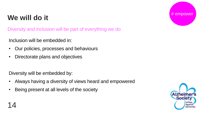### **We will do it**

Diversity and inclusion will be part of everything we do

Inclusion will be embedded in:

- Our policies, processes and behaviours
- Directorate plans and objectives

Diversity will be embedded by:

- Always having a diversity of views heard and empowered
- Being present at all levels of the society

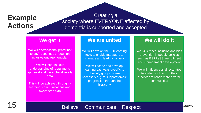### **Example Actions**

#### Creating a society where EVERYONE affected by dementia is supported and accepted

#### **We get it**

We will decrease the 'prefer not to say' responses through an inclusive engagement plan

We will increase our understanding of recruitment, appraisal and hierarchal diversity data

This will be achieved through a learning, communications and awareness plan

#### **We are united**

We will develop the EDI learning tools to enable managers to manage and lead inclusively

We will scope and develop learning pathways specific to diversity groups where necessary e.g. to support female progression through the hierarchy

#### **We will do it**

We will embed inclusion and bias prevention in people policies such as ESPReSS, recruitment and management development

We will influence all directorates to embed inclusion in their practices to reach more diverse communities

15

#### Believe Communicate Respect

**Bociety**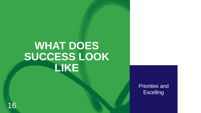## **WHAT DOES SUCCESS LOOK LIKE**

Priorities and **Excelling** 

16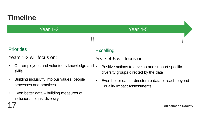### **Timeline**

Year 1-3 Year 4-5

#### **Priorities**

17

Years 1-3 will focus on:

- Our employees and volunteers knowledge and . skills
- Building inclusivity into our values, people processes and practices
- Even better data building measures of inclusion, not just diversity

### **Excelling**

Years 4-5 will focus on:

- Positive actions to develop and support specific diversity groups directed by the data
- Even better data directorate data of reach beyond Equality Impact Assessments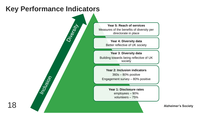### **Key Performance Indicators**

Inclusion

Diversity

**Year 5: Reach of services** Measures of the benefits of diversity per directorate in place

> **Year 4: Diversity data** Better reflective of UK society

**Year 3**: **Diversity data** Building towards being reflective of UK society

**Year 2: Inclusion indicators** 360s – 80% positive Engagement survey – 80% positive

> **Year 1: Disclosure rates**  employees – 90% volunteers – 75%

> > **Alzheimer's Society**